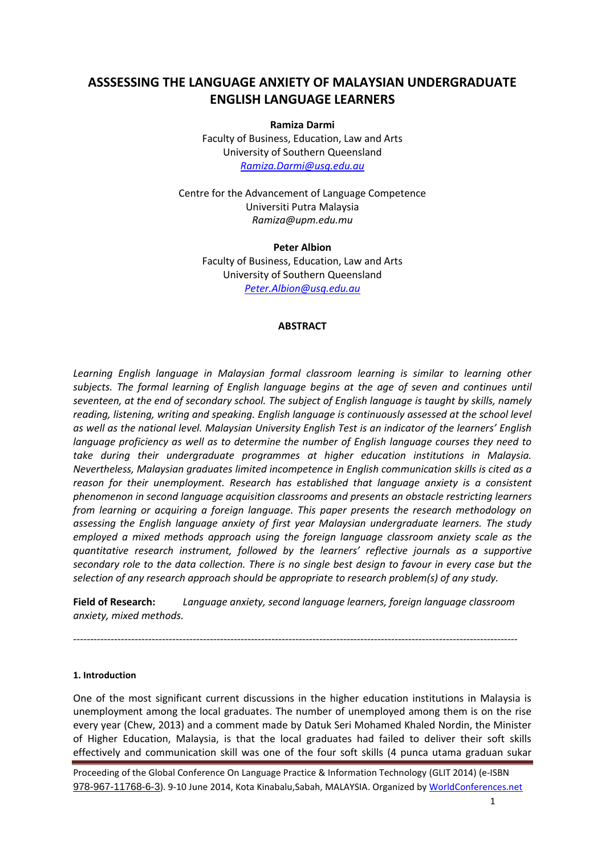# **ASSSESSING THE LANGUAGE ANXIETY OF MALAYSIAN UNDERGRADUATE ENGLISH LANGUAGE LEARNERS**

**Ramiza Darmi**

Faculty of Business, Education, Law and Arts University of Southern Queensland *[Ramiza.Darmi@usq.edu.au](mailto:Ramiza.Darmi@usq.edu.au)*

Centre for the Advancement of Language Competence Universiti Putra Malaysia *Ramiza@upm.edu.mu*

**Peter Albion** Faculty of Business, Education, Law and Arts University of Southern Queensland *[Peter.Albion@usq.edu.au](mailto:Peter.Albion@usq.edu.au)*

### **ABSTRACT**

*Learning English language in Malaysian formal classroom learning is similar to learning other subjects. The formal learning of English language begins at the age of seven and continues until seventeen, at the end of secondary school. The subject of English language is taught by skills, namely reading, listening, writing and speaking. English language is continuously assessed at the school level as well as the national level. Malaysian University English Test is an indicator of the learners' English language proficiency as well as to determine the number of English language courses they need to take during their undergraduate programmes at higher education institutions in Malaysia. Nevertheless, Malaysian graduates limited incompetence in English communication skills is cited as a reason for their unemployment. Research has established that language anxiety is a consistent phenomenon in second language acquisition classrooms and presents an obstacle restricting learners from learning or acquiring a foreign language. This paper presents the research methodology on assessing the English language anxiety of first year Malaysian undergraduate learners. The study employed a mixed methods approach using the foreign language classroom anxiety scale as the quantitative research instrument, followed by the learners' reflective journals as a supportive secondary role to the data collection. There is no single best design to favour in every case but the selection of any research approach should be appropriate to research problem(s) of any study.* 

**Field of Research:** *Language anxiety, second language learners, foreign language classroom anxiety, mixed methods.*

----------------------------------------------------------------------------------------------------------------------------------

# **1. Introduction**

One of the most significant current discussions in the higher education institutions in Malaysia is unemployment among the local graduates. The number of unemployed among them is on the rise every year (Chew, 2013) and a comment made by Datuk Seri Mohamed Khaled Nordin, the Minister of Higher Education, Malaysia, is that the local graduates had failed to deliver their soft skills effectively and communication skill was one of the four soft skills (4 punca utama graduan sukar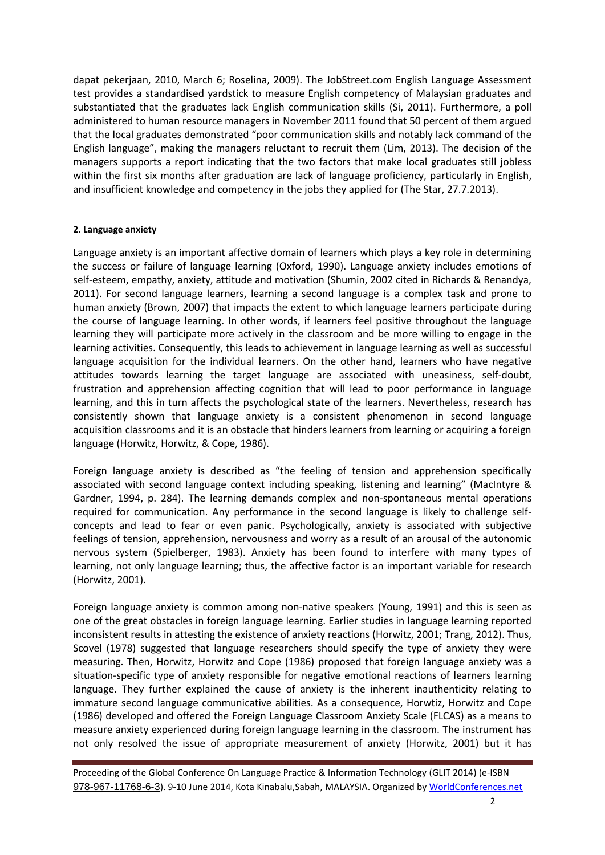dapat pekerjaan, 2010, March 6; Roselina, 2009). The JobStreet.com English Language Assessment test provides a standardised yardstick to measure English competency of Malaysian graduates and substantiated that the graduates lack English communication skills (Si, 2011). Furthermore, a poll administered to human resource managers in November 2011 found that 50 percent of them argued that the local graduates demonstrated "poor communication skills and notably lack command of the English language", making the managers reluctant to recruit them (Lim, 2013). The decision of the managers supports a report indicating that the two factors that make local graduates still jobless within the first six months after graduation are lack of language proficiency, particularly in English, and insufficient knowledge and competency in the jobs they applied for (The Star, 27.7.2013).

### **2. Language anxiety**

Language anxiety is an important affective domain of learners which plays a key role in determining the success or failure of language learning (Oxford, 1990). Language anxiety includes emotions of self-esteem, empathy, anxiety, attitude and motivation (Shumin, 2002 cited in Richards & Renandya, 2011). For second language learners, learning a second language is a complex task and prone to human anxiety (Brown, 2007) that impacts the extent to which language learners participate during the course of language learning. In other words, if learners feel positive throughout the language learning they will participate more actively in the classroom and be more willing to engage in the learning activities. Consequently, this leads to achievement in language learning as well as successful language acquisition for the individual learners. On the other hand, learners who have negative attitudes towards learning the target language are associated with uneasiness, self-doubt, frustration and apprehension affecting cognition that will lead to poor performance in language learning, and this in turn affects the psychological state of the learners. Nevertheless, research has consistently shown that language anxiety is a consistent phenomenon in second language acquisition classrooms and it is an obstacle that hinders learners from learning or acquiring a foreign language (Horwitz, Horwitz, & Cope, 1986).

Foreign language anxiety is described as "the feeling of tension and apprehension specifically associated with second language context including speaking, listening and learning" (MacIntyre & Gardner, 1994, p. 284). The learning demands complex and non-spontaneous mental operations required for communication. Any performance in the second language is likely to challenge selfconcepts and lead to fear or even panic. Psychologically, anxiety is associated with subjective feelings of tension, apprehension, nervousness and worry as a result of an arousal of the autonomic nervous system (Spielberger, 1983). Anxiety has been found to interfere with many types of learning, not only language learning; thus, the affective factor is an important variable for research (Horwitz, 2001).

Foreign language anxiety is common among non-native speakers (Young, 1991) and this is seen as one of the great obstacles in foreign language learning. Earlier studies in language learning reported inconsistent results in attesting the existence of anxiety reactions (Horwitz, 2001; Trang, 2012). Thus, Scovel (1978) suggested that language researchers should specify the type of anxiety they were measuring. Then, Horwitz, Horwitz and Cope (1986) proposed that foreign language anxiety was a situation-specific type of anxiety responsible for negative emotional reactions of learners learning language. They further explained the cause of anxiety is the inherent inauthenticity relating to immature second language communicative abilities. As a consequence, Horwtiz, Horwitz and Cope (1986) developed and offered the Foreign Language Classroom Anxiety Scale (FLCAS) as a means to measure anxiety experienced during foreign language learning in the classroom. The instrument has not only resolved the issue of appropriate measurement of anxiety (Horwitz, 2001) but it has

Proceeding of the Global Conference On Language Practice & Information Technology (GLIT 2014) (e-ISBN [978-967-11768-6-3](http://worldconferences.net/proceedings/glit2014)). 9-10 June 2014, Kota Kinabalu, Sabah, MALAYSIA. Organized b[y WorldConferences.net](http://worldconferences.net/)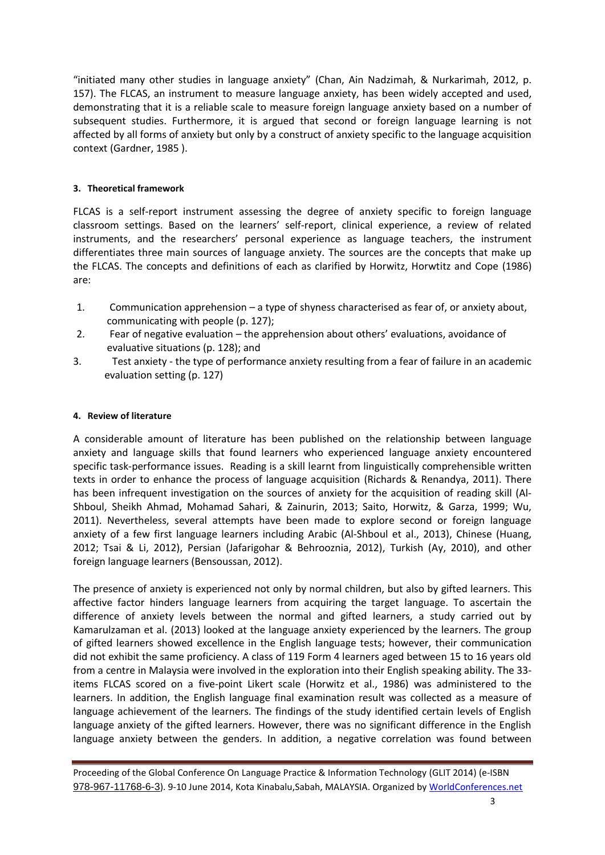"initiated many other studies in language anxiety" (Chan, Ain Nadzimah, & Nurkarimah, 2012, p. 157). The FLCAS, an instrument to measure language anxiety, has been widely accepted and used, demonstrating that it is a reliable scale to measure foreign language anxiety based on a number of subsequent studies. Furthermore, it is argued that second or foreign language learning is not affected by all forms of anxiety but only by a construct of anxiety specific to the language acquisition context (Gardner, 1985 ).

# **3. Theoretical framework**

FLCAS is a self-report instrument assessing the degree of anxiety specific to foreign language classroom settings. Based on the learners' self-report, clinical experience, a review of related instruments, and the researchers' personal experience as language teachers, the instrument differentiates three main sources of language anxiety. The sources are the concepts that make up the FLCAS. The concepts and definitions of each as clarified by Horwitz, Horwtitz and Cope (1986) are:

- 1. Communication apprehension a type of shyness characterised as fear of, or anxiety about, communicating with people (p. 127);
- 2. Fear of negative evaluation the apprehension about others' evaluations, avoidance of evaluative situations (p. 128); and
- 3. Test anxiety the type of performance anxiety resulting from a fear of failure in an academic evaluation setting (p. 127)

# **4. Review of literature**

A considerable amount of literature has been published on the relationship between language anxiety and language skills that found learners who experienced language anxiety encountered specific task-performance issues. Reading is a skill learnt from linguistically comprehensible written texts in order to enhance the process of language acquisition (Richards & Renandya, 2011). There has been infrequent investigation on the sources of anxiety for the acquisition of reading skill (Al-Shboul, Sheikh Ahmad, Mohamad Sahari, & Zainurin, 2013; Saito, Horwitz, & Garza, 1999; Wu, 2011). Nevertheless, several attempts have been made to explore second or foreign language anxiety of a few first language learners including Arabic (Al-Shboul et al., 2013), Chinese (Huang, 2012; Tsai & Li, 2012), Persian (Jafarigohar & Behrooznia, 2012), Turkish (Ay, 2010), and other foreign language learners (Bensoussan, 2012).

The presence of anxiety is experienced not only by normal children, but also by gifted learners. This affective factor hinders language learners from acquiring the target language. To ascertain the difference of anxiety levels between the normal and gifted learners, a study carried out by Kamarulzaman et al. (2013) looked at the language anxiety experienced by the learners. The group of gifted learners showed excellence in the English language tests; however, their communication did not exhibit the same proficiency. A class of 119 Form 4 learners aged between 15 to 16 years old from a centre in Malaysia were involved in the exploration into their English speaking ability. The 33 items FLCAS scored on a five-point Likert scale (Horwitz et al., 1986) was administered to the learners. In addition, the English language final examination result was collected as a measure of language achievement of the learners. The findings of the study identified certain levels of English language anxiety of the gifted learners. However, there was no significant difference in the English language anxiety between the genders. In addition, a negative correlation was found between

Proceeding of the Global Conference On Language Practice & Information Technology (GLIT 2014) (e-ISBN [978-967-11768-6-3](http://worldconferences.net/proceedings/glit2014)). 9-10 June 2014, Kota Kinabalu, Sabah, MALAYSIA. Organized b[y WorldConferences.net](http://worldconferences.net/)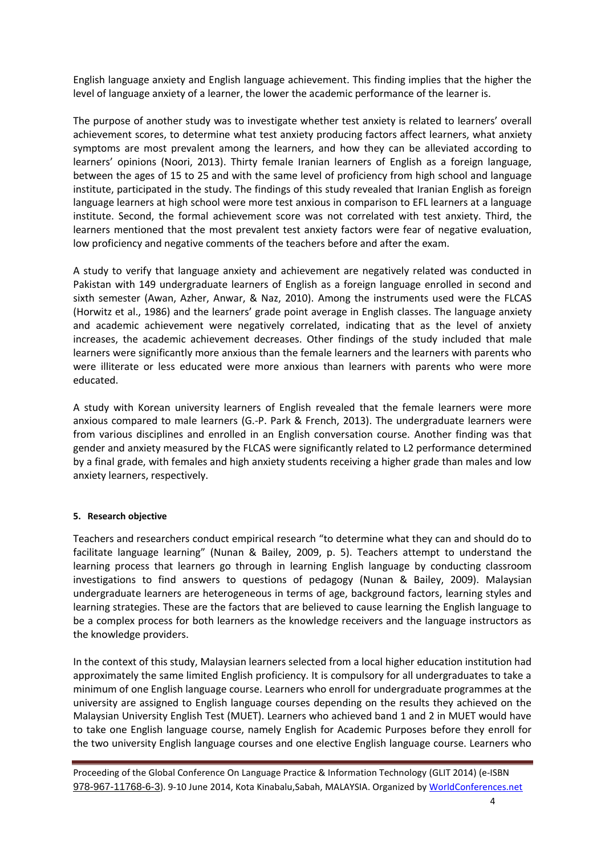English language anxiety and English language achievement. This finding implies that the higher the level of language anxiety of a learner, the lower the academic performance of the learner is.

The purpose of another study was to investigate whether test anxiety is related to learners' overall achievement scores, to determine what test anxiety producing factors affect learners, what anxiety symptoms are most prevalent among the learners, and how they can be alleviated according to learners' opinions (Noori, 2013). Thirty female Iranian learners of English as a foreign language, between the ages of 15 to 25 and with the same level of proficiency from high school and language institute, participated in the study. The findings of this study revealed that Iranian English as foreign language learners at high school were more test anxious in comparison to EFL learners at a language institute. Second, the formal achievement score was not correlated with test anxiety. Third, the learners mentioned that the most prevalent test anxiety factors were fear of negative evaluation, low proficiency and negative comments of the teachers before and after the exam.

A study to verify that language anxiety and achievement are negatively related was conducted in Pakistan with 149 undergraduate learners of English as a foreign language enrolled in second and sixth semester (Awan, Azher, Anwar, & Naz, 2010). Among the instruments used were the FLCAS (Horwitz et al., 1986) and the learners' grade point average in English classes. The language anxiety and academic achievement were negatively correlated, indicating that as the level of anxiety increases, the academic achievement decreases. Other findings of the study included that male learners were significantly more anxious than the female learners and the learners with parents who were illiterate or less educated were more anxious than learners with parents who were more educated.

A study with Korean university learners of English revealed that the female learners were more anxious compared to male learners (G.-P. Park & French, 2013). The undergraduate learners were from various disciplines and enrolled in an English conversation course. Another finding was that gender and anxiety measured by the FLCAS were significantly related to L2 performance determined by a final grade, with females and high anxiety students receiving a higher grade than males and low anxiety learners, respectively.

# <span id="page-3-0"></span>**5. Research objective**

Teachers and researchers conduct empirical research "to determine what they can and should do to facilitate language learning" (Nunan & Bailey, 2009, p. 5). Teachers attempt to understand the learning process that learners go through in learning English language by conducting classroom investigations to find answers to questions of pedagogy (Nunan & Bailey, 2009). Malaysian undergraduate learners are heterogeneous in terms of age, background factors, learning styles and learning strategies. These are the factors that are believed to cause learning the English language to be a complex process for both learners as the knowledge receivers and the language instructors as the knowledge providers.

In the context of this study, Malaysian learners selected from a local higher education institution had approximately the same limited English proficiency. It is compulsory for all undergraduates to take a minimum of one English language course. Learners who enroll for undergraduate programmes at the university are assigned to English language courses depending on the results they achieved on the Malaysian University English Test (MUET). Learners who achieved band 1 and 2 in MUET would have to take one English language course, namely English for Academic Purposes before they enroll for the two university English language courses and one elective English language course. Learners who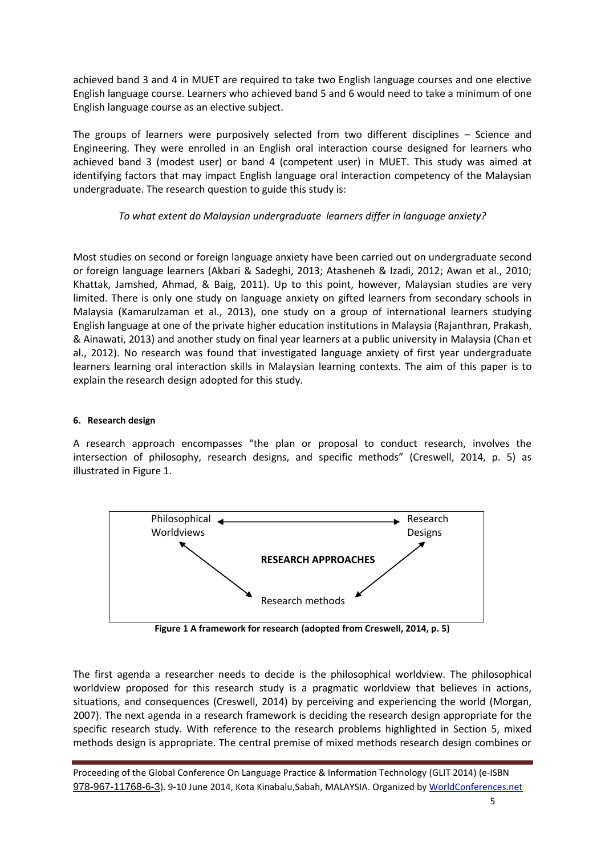achieved band 3 and 4 in MUET are required to take two English language courses and one elective English language course. Learners who achieved band 5 and 6 would need to take a minimum of one English language course as an elective subject.

The groups of learners were purposively selected from two different disciplines – Science and Engineering. They were enrolled in an English oral interaction course designed for learners who achieved band 3 (modest user) or band 4 (competent user) in MUET. This study was aimed at identifying factors that may impact English language oral interaction competency of the Malaysian undergraduate. The research question to guide this study is:

# *To what extent do Malaysian undergraduate learners differ in language anxiety?*

Most studies on second or foreign language anxiety have been carried out on undergraduate second or foreign language learners (Akbari & Sadeghi, 2013; Atasheneh & Izadi, 2012; Awan et al., 2010; Khattak, Jamshed, Ahmad, & Baig, 2011). Up to this point, however, Malaysian studies are very limited. There is only one study on language anxiety on gifted learners from secondary schools in Malaysia (Kamarulzaman et al., 2013), one study on a group of international learners studying English language at one of the private higher education institutions in Malaysia (Rajanthran, Prakash, & Ainawati, 2013) and another study on final year learners at a public university in Malaysia (Chan et al., 2012). No research was found that investigated language anxiety of first year undergraduate learners learning oral interaction skills in Malaysian learning contexts. The aim of this paper is to explain the research design adopted for this study.

# **6. Research design**

A research approach encompasses "the plan or proposal to conduct research, involves the intersection of philosophy, research designs, and specific methods" (Creswell, 2014, p. 5) as illustrated i[n Figure 1.](#page-4-0)



**Figure 1 A framework for research (adopted from Creswell, 2014, p. 5)**

<span id="page-4-0"></span>The first agenda a researcher needs to decide is the philosophical worldview. The philosophical worldview proposed for this research study is a pragmatic worldview that believes in actions, situations, and consequences (Creswell, 2014) by perceiving and experiencing the world (Morgan, 2007). The next agenda in a research framework is deciding the research design appropriate for the specific research study. With reference to the research problems highlighted in Section [5,](#page-3-0) mixed methods design is appropriate. The central premise of mixed methods research design combines or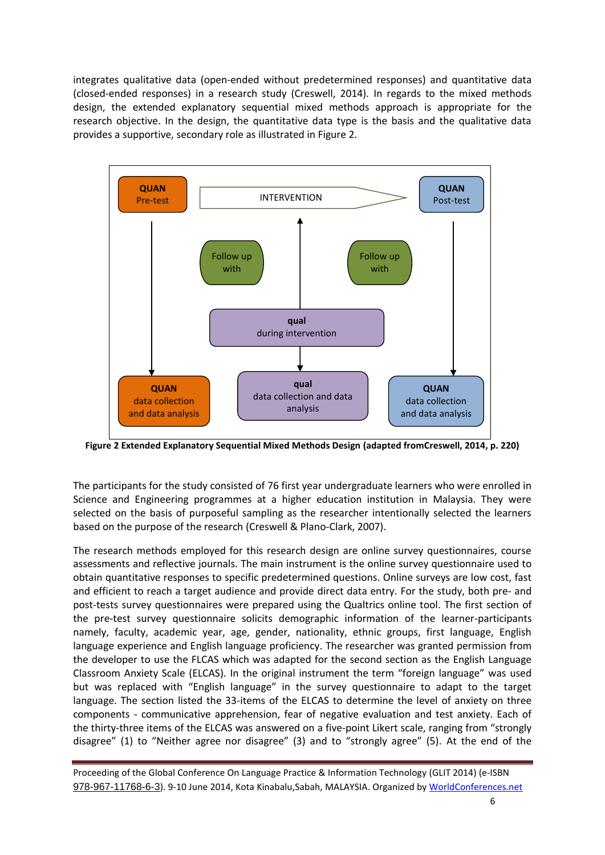integrates qualitative data (open-ended without predetermined responses) and quantitative data (closed-ended responses) in a research study (Creswell, 2014). In regards to the mixed methods design, the extended explanatory sequential mixed methods approach is appropriate for the research objective. In the design, the quantitative data type is the basis and the qualitative data provides a supportive, secondary role as illustrated in [Figure 2.](#page-5-0)



<span id="page-5-0"></span>**Figure 2 Extended Explanatory Sequential Mixed Methods Design (adapted fromCreswell, 2014, p. 220)**

The participants for the study consisted of 76 first year undergraduate learners who were enrolled in Science and Engineering programmes at a higher education institution in Malaysia. They were selected on the basis of purposeful sampling as the researcher intentionally selected the learners based on the purpose of the research (Creswell & Plano-Clark, 2007).

The research methods employed for this research design are online survey questionnaires, course assessments and reflective journals. The main instrument is the online survey questionnaire used to obtain quantitative responses to specific predetermined questions. Online surveys are low cost, fast and efficient to reach a target audience and provide direct data entry. For the study, both pre- and post-tests survey questionnaires were prepared using the Qualtrics online tool. The first section of the pre-test survey questionnaire solicits demographic information of the learner-participants namely, faculty, academic year, age, gender, nationality, ethnic groups, first language, English language experience and English language proficiency. The researcher was granted permission from the developer to use the FLCAS which was adapted for the second section as the English Language Classroom Anxiety Scale (ELCAS). In the original instrument the term "foreign language" was used but was replaced with "English language" in the survey questionnaire to adapt to the target language. The section listed the 33-items of the ELCAS to determine the level of anxiety on three components - communicative apprehension, fear of negative evaluation and test anxiety. Each of the thirty-three items of the ELCAS was answered on a five-point Likert scale, ranging from "strongly disagree" (1) to "Neither agree nor disagree" (3) and to "strongly agree" (5). At the end of the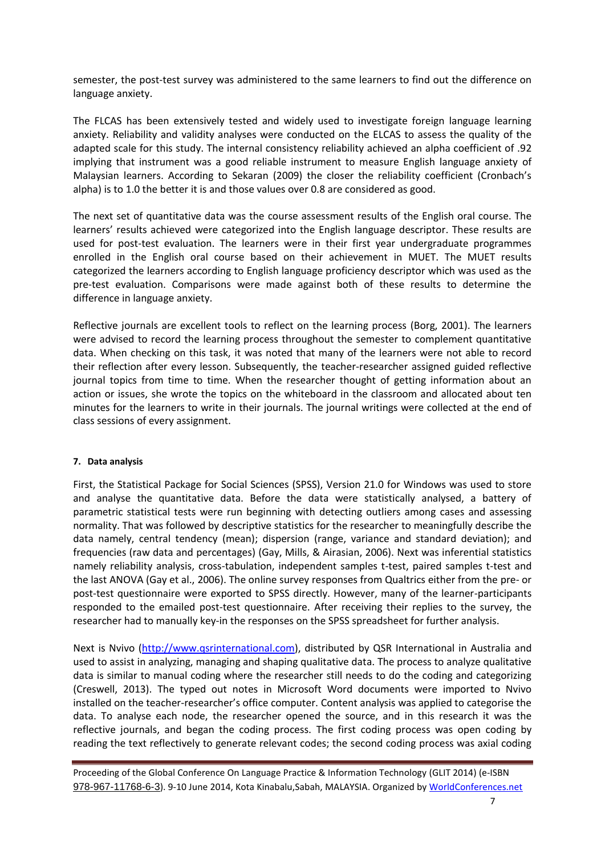semester, the post-test survey was administered to the same learners to find out the difference on language anxiety.

The FLCAS has been extensively tested and widely used to investigate foreign language learning anxiety. Reliability and validity analyses were conducted on the ELCAS to assess the quality of the adapted scale for this study. The internal consistency reliability achieved an alpha coefficient of .92 implying that instrument was a good reliable instrument to measure English language anxiety of Malaysian learners. According to Sekaran (2009) the closer the reliability coefficient (Cronbach's alpha) is to 1.0 the better it is and those values over 0.8 are considered as good.

The next set of quantitative data was the course assessment results of the English oral course. The learners' results achieved were categorized into the English language descriptor. These results are used for post-test evaluation. The learners were in their first year undergraduate programmes enrolled in the English oral course based on their achievement in MUET. The MUET results categorized the learners according to English language proficiency descriptor which was used as the pre-test evaluation. Comparisons were made against both of these results to determine the difference in language anxiety.

Reflective journals are excellent tools to reflect on the learning process (Borg, 2001). The learners were advised to record the learning process throughout the semester to complement quantitative data. When checking on this task, it was noted that many of the learners were not able to record their reflection after every lesson. Subsequently, the teacher-researcher assigned guided reflective journal topics from time to time. When the researcher thought of getting information about an action or issues, she wrote the topics on the whiteboard in the classroom and allocated about ten minutes for the learners to write in their journals. The journal writings were collected at the end of class sessions of every assignment.

#### **7. Data analysis**

First, the Statistical Package for Social Sciences (SPSS), Version 21.0 for Windows was used to store and analyse the quantitative data. Before the data were statistically analysed, a battery of parametric statistical tests were run beginning with detecting outliers among cases and assessing normality. That was followed by descriptive statistics for the researcher to meaningfully describe the data namely, central tendency (mean); dispersion (range, variance and standard deviation); and frequencies (raw data and percentages) (Gay, Mills, & Airasian, 2006). Next was inferential statistics namely reliability analysis, cross-tabulation, independent samples t-test, paired samples t-test and the last ANOVA (Gay et al., 2006). The online survey responses from Qualtrics either from the pre- or post-test questionnaire were exported to SPSS directly. However, many of the learner-participants responded to the emailed post-test questionnaire. After receiving their replies to the survey, the researcher had to manually key-in the responses on the SPSS spreadsheet for further analysis.

Next is Nvivo [\(http://www.qsrinternational.com\)](http://www.qsrinternational.com/), distributed by QSR International in Australia and used to assist in analyzing, managing and shaping qualitative data. The process to analyze qualitative data is similar to manual coding where the researcher still needs to do the coding and categorizing (Creswell, 2013). The typed out notes in Microsoft Word documents were imported to Nvivo installed on the teacher-researcher's office computer. Content analysis was applied to categorise the data. To analyse each node, the researcher opened the source, and in this research it was the reflective iournals, and began the coding process. The first coding process was open coding by reading the text reflectively to generate relevant codes; the second coding process was axial coding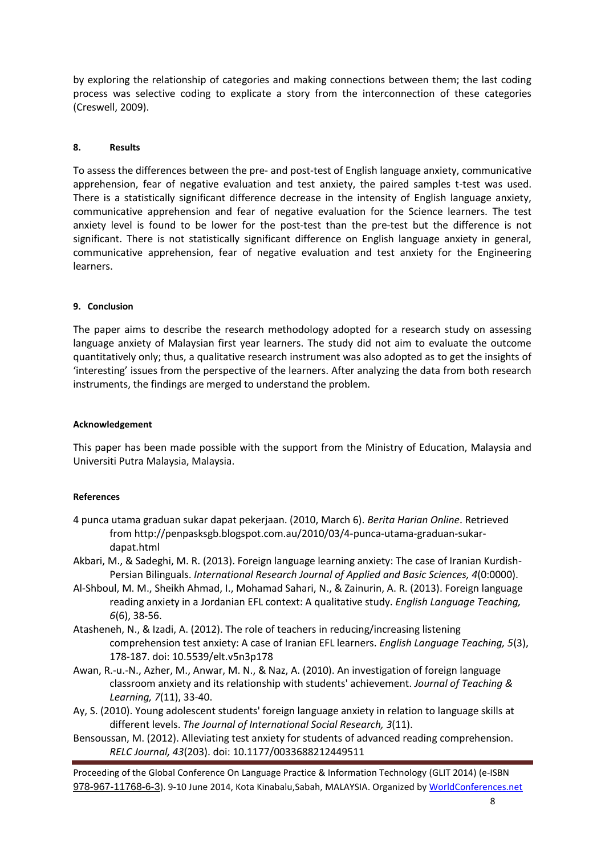by exploring the relationship of categories and making connections between them; the last coding process was selective coding to explicate a story from the interconnection of these categories (Creswell, 2009).

# **8. Results**

To assess the differences between the pre- and post-test of English language anxiety, communicative apprehension, fear of negative evaluation and test anxiety, the paired samples t-test was used. There is a statistically significant difference decrease in the intensity of English language anxiety, communicative apprehension and fear of negative evaluation for the Science learners. The test anxiety level is found to be lower for the post-test than the pre-test but the difference is not significant. There is not statistically significant difference on English language anxiety in general, communicative apprehension, fear of negative evaluation and test anxiety for the Engineering learners.

# **9. Conclusion**

The paper aims to describe the research methodology adopted for a research study on assessing language anxiety of Malaysian first year learners. The study did not aim to evaluate the outcome quantitatively only; thus, a qualitative research instrument was also adopted as to get the insights of 'interesting' issues from the perspective of the learners. After analyzing the data from both research instruments, the findings are merged to understand the problem.

# **Acknowledgement**

This paper has been made possible with the support from the Ministry of Education, Malaysia and Universiti Putra Malaysia, Malaysia.

# **References**

- 4 punca utama graduan sukar dapat pekerjaan. (2010, March 6). *Berita Harian Online*. Retrieved from http://penpasksgb.blogspot.com.au/2010/03/4-punca-utama-graduan-sukardapat.html
- Akbari, M., & Sadeghi, M. R. (2013). Foreign language learning anxiety: The case of Iranian Kurdish-Persian Bilinguals. *International Research Journal of Applied and Basic Sciences, 4*(0:0000).
- Al-Shboul, M. M., Sheikh Ahmad, I., Mohamad Sahari, N., & Zainurin, A. R. (2013). Foreign language reading anxiety in a Jordanian EFL context: A qualitative study. *English Language Teaching, 6*(6), 38-56.
- Atasheneh, N., & Izadi, A. (2012). The role of teachers in reducing/increasing listening comprehension test anxiety: A case of Iranian EFL learners. *English Language Teaching, 5*(3), 178-187. doi: 10.5539/elt.v5n3p178
- Awan, R.-u.-N., Azher, M., Anwar, M. N., & Naz, A. (2010). An investigation of foreign language classroom anxiety and its relationship with students' achievement. *Journal of Teaching & Learning, 7*(11), 33-40.
- Ay, S. (2010). Young adolescent students' foreign language anxiety in relation to language skills at different levels. *The Journal of International Social Research, 3*(11).
- Bensoussan, M. (2012). Alleviating test anxiety for students of advanced reading comprehension. *RELC Journal, 43*(203). doi: 10.1177/0033688212449511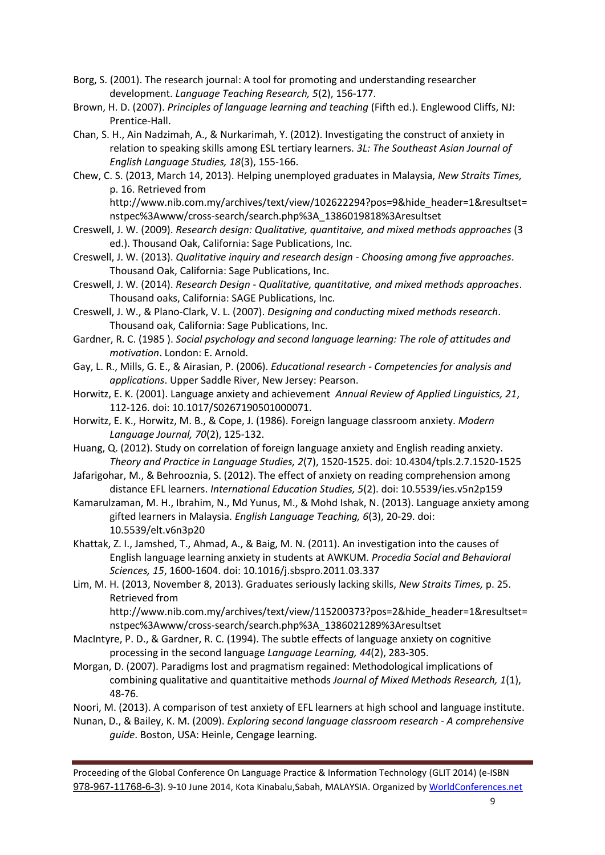- Borg, S. (2001). The research journal: A tool for promoting and understanding researcher development. *Language Teaching Research, 5*(2), 156-177.
- Brown, H. D. (2007). *Principles of language learning and teaching* (Fifth ed.). Englewood Cliffs, NJ: Prentice-Hall.
- Chan, S. H., Ain Nadzimah, A., & Nurkarimah, Y. (2012). Investigating the construct of anxiety in relation to speaking skills among ESL tertiary learners. *3L: The Southeast Asian Journal of English Language Studies, 18*(3), 155-166.
- Chew, C. S. (2013, March 14, 2013). Helping unemployed graduates in Malaysia, *New Straits Times,* p. 16. Retrieved from

http://www.nib.com.my/archives/text/view/102622294?pos=9&hide\_header=1&resultset= nstpec%3Awww/cross-search/search.php%3A\_1386019818%3Aresultset

- Creswell, J. W. (2009). *Research design: Qualitative, quantitaive, and mixed methods approaches* (3 ed.). Thousand Oak, California: Sage Publications, Inc.
- Creswell, J. W. (2013). *Qualitative inquiry and research design - Choosing among five approaches*. Thousand Oak, California: Sage Publications, Inc.
- Creswell, J. W. (2014). *Research Design - Qualitative, quantitative, and mixed methods approaches*. Thousand oaks, California: SAGE Publications, Inc.
- Creswell, J. W., & Plano-Clark, V. L. (2007). *Designing and conducting mixed methods research*. Thousand oak, California: Sage Publications, Inc.
- Gardner, R. C. (1985 ). *Social psychology and second language learning: The role of attitudes and motivation*. London: E. Arnold.
- Gay, L. R., Mills, G. E., & Airasian, P. (2006). *Educational research - Competencies for analysis and applications*. Upper Saddle River, New Jersey: Pearson.
- Horwitz, E. K. (2001). Language anxiety and achievement *Annual Review of Applied Linguistics, 21*, 112-126. doi: 10.1017/S0267190501000071.
- Horwitz, E. K., Horwitz, M. B., & Cope, J. (1986). Foreign language classroom anxiety. *Modern Language Journal, 70*(2), 125-132.
- Huang, Q. (2012). Study on correlation of foreign language anxiety and English reading anxiety. *Theory and Practice in Language Studies, 2*(7), 1520-1525. doi: 10.4304/tpls.2.7.1520-1525
- Jafarigohar, M., & Behrooznia, S. (2012). The effect of anxiety on reading comprehension among distance EFL learners. *International Education Studies, 5*(2). doi: 10.5539/ies.v5n2p159
- Kamarulzaman, M. H., Ibrahim, N., Md Yunus, M., & Mohd Ishak, N. (2013). Language anxiety among gifted learners in Malaysia. *English Language Teaching, 6*(3), 20-29. doi: 10.5539/elt.v6n3p20
- Khattak, Z. I., Jamshed, T., Ahmad, A., & Baig, M. N. (2011). An investigation into the causes of English language learning anxiety in students at AWKUM. *Procedia Social and Behavioral Sciences, 15*, 1600-1604. doi: 10.1016/j.sbspro.2011.03.337
- Lim, M. H. (2013, November 8, 2013). Graduates seriously lacking skills, *New Straits Times,* p. 25. Retrieved from

http://www.nib.com.my/archives/text/view/115200373?pos=2&hide\_header=1&resultset= nstpec%3Awww/cross-search/search.php%3A\_1386021289%3Aresultset

- MacIntyre, P. D., & Gardner, R. C. (1994). The subtle effects of language anxiety on cognitive processing in the second language *Language Learning, 44*(2), 283-305.
- Morgan, D. (2007). Paradigms lost and pragmatism regained: Methodological implications of combining qualitative and quantitaitive methods *Journal of Mixed Methods Research, 1*(1), 48-76.

Noori, M. (2013). A comparison of test anxiety of EFL learners at high school and language institute.

Nunan, D., & Bailey, K. M. (2009). *Exploring second language classroom research - A comprehensive guide*. Boston, USA: Heinle, Cengage learning.